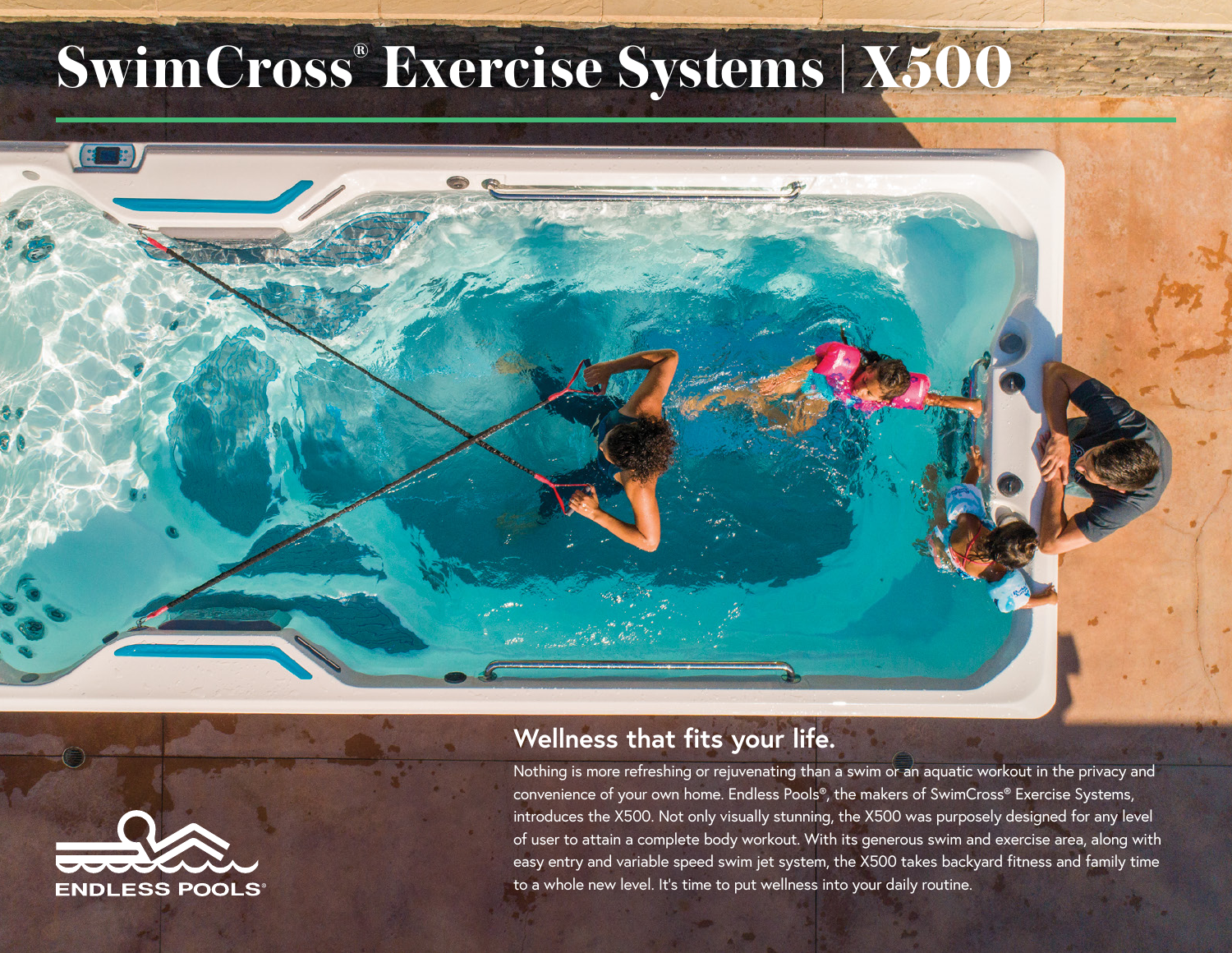## **SwimCross® Exercise Systems | X500**





## **Wellness that fits your life.**

Nothing is more refreshing or rejuvenating than a swim or an aquatic workout in the privacy and convenience of your own home. Endless Pools®, the makers of SwimCross® Exercise Systems, introduces the X500. Not only visually stunning, the X500 was purposely designed for any level of user to attain a complete body workout. With its generous swim and exercise area, along with easy entry and variable speed swim jet system, the X500 takes backyard fitness and family time to a whole new level. It's time to put wellness into your daily routine.